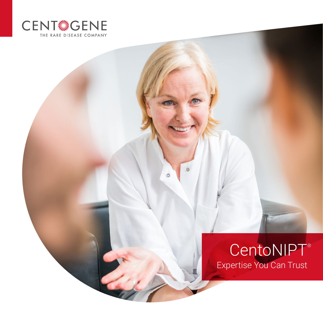

# CentoNIPT® Expertise You Can Trust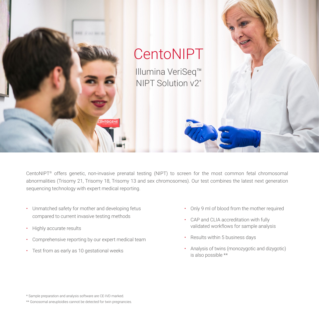

CentoNIPT® offers genetic, non-invasive prenatal testing (NIPT) to screen for the most common fetal chromosomal abnormalities (Trisomy 21, Trisomy 18, Trisomy 13 and sex chromosomes). Our test combines the latest next generation sequencing technology with expert medical reporting.

- Unmatched safety for mother and developing fetus compared to current invasive testing methods
- Highly accurate results
- Comprehensive reporting by our expert medical team
- Test from as early as 10 gestational weeks
- Only 9 ml of blood from the mother required
- CAP and CLIA accreditation with fully validated workflows for sample analysis
- Results within 5 business days
- Analysis of twins (monozygotic and dizygotic) is also possible \*\*

<sup>\*</sup> Sample preparation and analysis software are CE-IVD marked.

<sup>\*\*</sup> Gonosomal aneuploidies cannot be detected for twin pregnancies.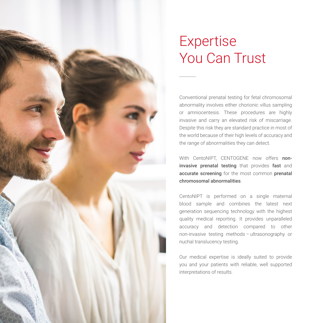# Expertise You Can Trust

Conventional prenatal testing for fetal chromosomal abnormality involves either chorionic villus sampling or amniocentesis. These procedures are highly invasive and carry an elevated risk of miscarriage. Despite this risk they are standard practice in most of the world because of their high levels of accuracy and the range of abnormalities they can detect.

With CentoNIPT, CENTOGENE now offers noninvasive prenatal testing that provides fast and accurate screening for the most common prenatal chromosomal abnormalities.

CentoNIPT is performed on a single maternal blood sample and combines the latest next generation sequencing technology with the highest quality medical reporting. It provides unparalleled accuracy and detection compared to other non-invasive testing methods – ultrasonography or nuchal translucency testing.

Our medical expertise is ideally suited to provide you and your patients with reliable, well supported interpretations of results.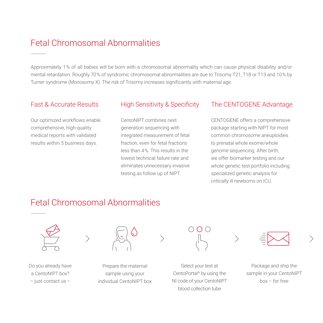## Fetal Chromosomal Abnormalities

Approximately 1 % of all babies will be born with a chromosomal abnormality which can cause physical disability and/or mental retardation. Roughly 70 % of syndromic chromosomal abnormalities are due to Trisomy T21, T18 or T13 and 10 % by Turner syndrome (Monosomy X). The risk of Trisomy increases significantly with maternal age.

Our optimized workflows enable comprehensive, high-quality medical reports with validated results within 5 business days.

CentoNIPT combines next generation sequencing with integrated measurement of fetal fraction, even for fetal fractions less than 4 %. This results in the lowest technical failure rate and eliminates unnecessary invasive testing as follow-up of NIPT.

### Fast & Accurate Results High Sensitivity & Specificity The CENTOGENE Advantage

CENTOGENE offers a comprehensive package starting with NIPT for most common chromosome aneuploidies to prenatal whole exome/whole genome sequencing. After birth, we offer biomarker testing and our whole genetic test portfolio including specialized genetic analysis for critically ill newborns on ICU.

## Fetal Chromosomal Abnormalities



Do you already have a CentoNIPT box? – just contact us –



Prepare the maternal sample using your individual CentoNIPT box

0 O C

Select your test at CentoPortal® by using the NI code of your CentoNIPT blood collection tube



Package and ship the sample in your CentoNIPT box – for free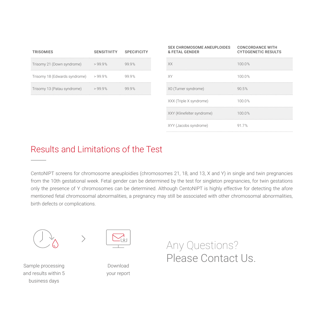| <b>TRISOMIES</b>              | <b>SENSITIVITY</b> | <b>SPECIFICITY</b> |
|-------------------------------|--------------------|--------------------|
| Trisomy 21 (Down syndrome)    | >999%              | 999%               |
| Trisomy 18 (Edwards syndrome) | >99.9%             | 999%               |
| Trisomy 13 (Patau syndrome)   | >999%              | 999%               |

| <b>SEX CHROMOSOME ANEUPLOIDES</b><br>& FETAL GENDER | <b>CONCORDANCE WITH</b><br><b>CYTOGENETIC RESULTS</b> |
|-----------------------------------------------------|-------------------------------------------------------|
| XX                                                  | 100.0%                                                |
| XY.                                                 | 100.0%                                                |
| X0 (Turner syndrome)                                | 90.5%                                                 |
| XXX (Triple X syndrome)                             | 100.0%                                                |
| XXY (Klinefelter syndrome)                          | 100.0%                                                |
| XYY (Jacobs syndrome)                               | 917%                                                  |

## Results and Limitations of the Test

CentoNIPT screens for chromosome aneuploidies (chromosomes 21, 18, and 13, X and Y) in single and twin pregnancies from the 10th gestational week. Fetal gender can be determined by the test for singleton pregnancies, for twin gestations only the presence of Y chromosomes can be determined. Although CentoNIPT is highly effective for detecting the afore mentioned fetal chromosomal abnormalities, a pregnancy may still be associated with other chromosomal abnormalities, birth defects or complications.



Sample processing and results within 5 business days



Download your report Any Questions? Please Contact Us.